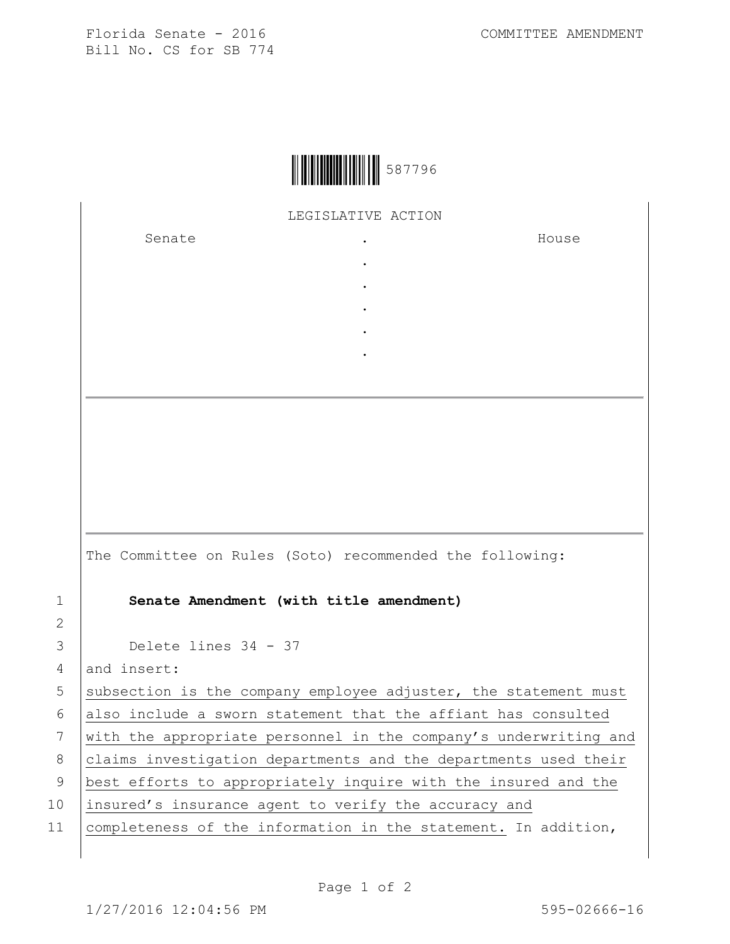Florida Senate - 2016 COMMITTEE AMENDMENT Bill No. CS for SB 774



LEGISLATIVE ACTION

. . . . .

Senate .

House

|                | The Committee on Rules (Soto) recommended the following:         |
|----------------|------------------------------------------------------------------|
| $\mathbf{1}$   | Senate Amendment (with title amendment)                          |
| $\overline{2}$ |                                                                  |
| 3              | Delete lines 34 - 37                                             |
| 4              | and insert:                                                      |
| 5              | subsection is the company employee adjuster, the statement must  |
| 6              | also include a sworn statement that the affiant has consulted    |
| 7              | with the appropriate personnel in the company's underwriting and |
| 8              | claims investigation departments and the departments used their  |
| 9              | best efforts to appropriately inquire with the insured and the   |
| 10             | insured's insurance agent to verify the accuracy and             |
| 11             | completeness of the information in the statement. In addition,   |